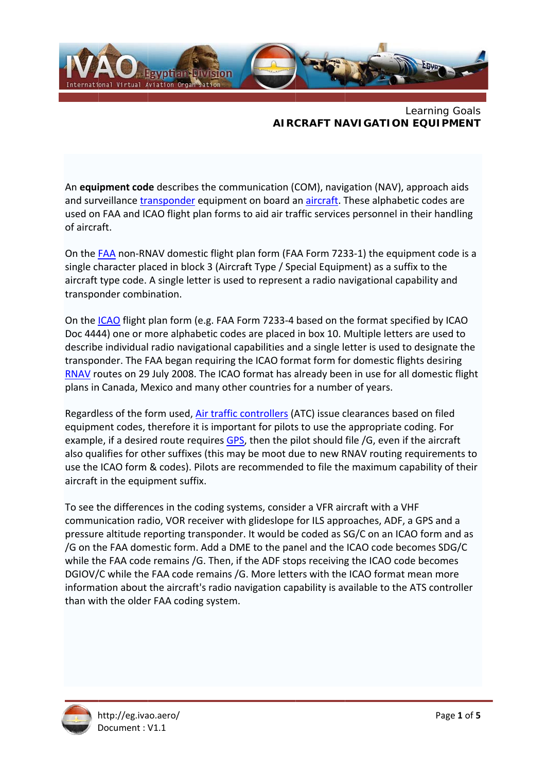

Learning Goals **AIRCRAFT NAVIGATION EQUIPMENT** 

An equipment code describes the communication (COM), navigation (NAV), approach aids and surveillance transponder equipment on board an aircraft. These alphabetic codes are used on FAA and ICAO flight plan forms to aid air traffic services personnel in their handling of aircraft.

On the FAA non-RNAV domestic flight plan form (FAA Form 7233-1) the equipment code is a single character placed in block 3 (Aircraft Type / Special Equipment) as a suffix to the aircraft type code. A single letter is used to represent a radio navigational capability and transponder combination.

On the ICAO flight plan form (e.g. FAA Form 7233-4 based on the format specified by ICAO Doc 4444) one or more alphabetic codes are placed in box 10. Multiple letters are used to describe individual radio navigational capabilities and a single letter is used to designate the transponder. The FAA began requiring the ICAO format form for domestic flights desiring RNAV routes on 29 July 2008. The ICAO format has already been in use for all domestic flight plans in Canada, Mexico and many other countries for a number of years.

Regardless of the form used, Air traffic controllers (ATC) issue clearances based on filed equipment codes, therefore it is important for pilots to use the appropriate coding. For example, if a desired route requires GPS, then the pilot should file /G, even if the aircraft also qualifies for other suffixes (this may be moot due to new RNAV routing requirements to use the ICAO form & codes). Pilots are recommended to file the maximum capability of their aircraft in the equipment suffix.

To see the differences in the coding systems, consider a VFR aircraft with a VHF communication radio, VOR receiver with glideslope for ILS approaches, ADF, a GPS and a pressure altitude reporting transponder. It would be coded as SG/C on an ICAO form and as /G on the FAA domestic form. Add a DME to the panel and the ICAO code becomes SDG/C while the FAA code remains /G. Then, if the ADF stops receiving the ICAO code becomes DGIOV/C while the FAA code remains /G. More letters with the ICAO format mean more information about the aircraft's radio navigation capability is available to the ATS controller than with the older FAA coding system.

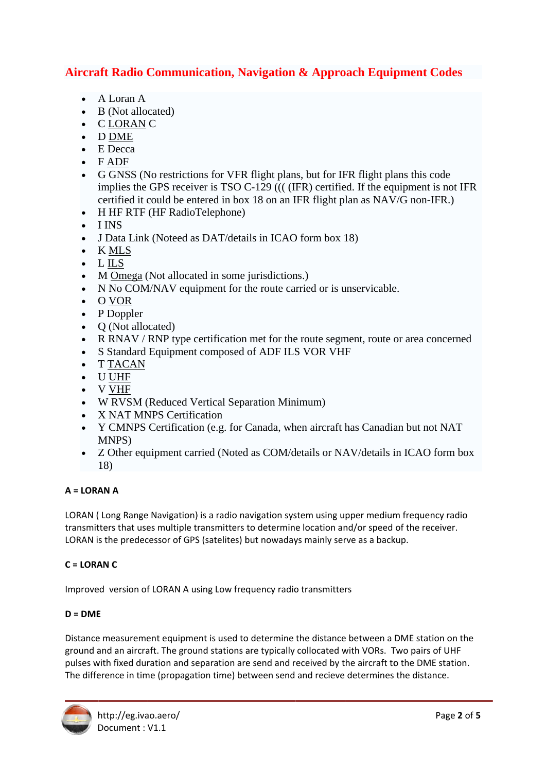# **Aircraft Radio Communication, Navigation & Approach Equipment Codes**

- $\bullet$  A Loran A
- B (Not allocated)
- CLORANC
- $\bullet$  DDME
- $\bullet$  E Decca
- $\bullet$  FADF
- G GNSS (No restrictions for VFR flight plans, but for IFR flight plans this code implies the GPS receiver is TSO C-129  $(($  (IFR) certified. If the equipment is not IFR certified it could be entered in box 18 on an IFR flight plan as NAV/G non-IFR.)
- $\bullet$  H HF RTF (HF RadioTelephone)
- $\bullet$  I INS
- J Data Link (Noteed as DAT/details in ICAO form box 18)
- $\bullet$  KMLS
- $\bullet$  LILS
- M Omega (Not allocated in some jurisdictions.)
- N No COM/NAV equipment for the route carried or is unservicable.
- $\bullet$  O VOR
- P Doppler  $\bullet$
- O (Not allocated)
- R RNAV / RNP type certification met for the route segment, route or area concerned
- S Standard Equipment composed of ADF ILS VOR VHF
- **T TACAN**
- **U UHF**  $\bullet$
- V VHF
- W RVSM (Reduced Vertical Separation Minimum)
- X NAT MNPS Certification
- Y CMNPS Certification (e.g. for Canada, when aircraft has Canadian but not NAT MNPS)
- Z Other equipment carried (Noted as COM/details or NAV/details in ICAO form box 18)

# $A = LORAN A$

LORAN (Long Range Navigation) is a radio navigation system using upper medium frequency radio transmitters that uses multiple transmitters to determine location and/or speed of the receiver. LORAN is the predecessor of GPS (satelites) but nowadays mainly serve as a backup.

# $C = LORAN C$

Improved version of LORAN A using Low frequency radio transmitters

# $D = DME$

Distance measurement equipment is used to determine the distance between a DME station on the ground and an aircraft. The ground stations are typically collocated with VORs. Two pairs of UHF pulses with fixed duration and separation are send and received by the aircraft to the DME station. The difference in time (propagation time) between send and recieve determines the distance.

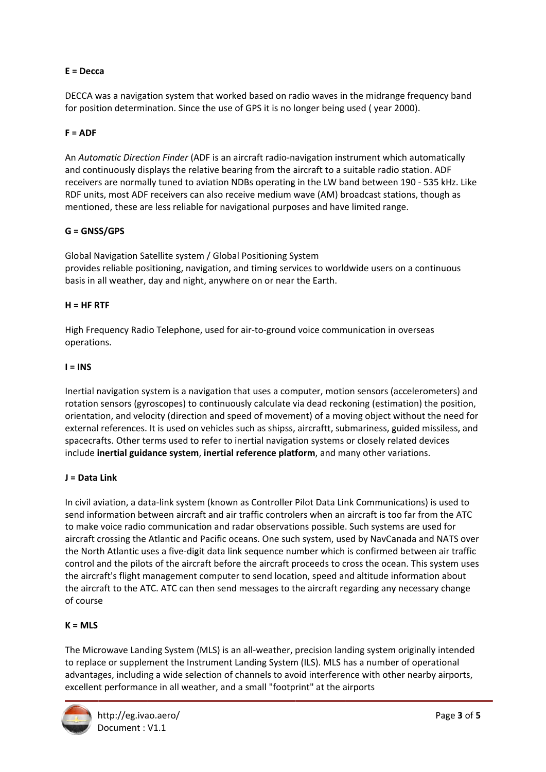# $E = Decca$

DECCA was a navigation system that worked based on radio waves in the midrange frequency band for position determination. Since the use of GPS it is no longer being used (year 2000).

## $F = ADF$

An Automatic Direction Finder (ADF is an aircraft radio-navigation instrument which automatically and continuously displays the relative bearing from the aircraft to a suitable radio station. ADF receivers are normally tuned to aviation NDBs operating in the LW band between 190 - 535 kHz. Like RDF units, most ADF receivers can also receive medium wave (AM) broadcast stations, though as mentioned, these are less reliable for navigational purposes and have limited range.

## $G = G NSS/GPS$

Global Navigation Satellite system / Global Positioning System provides reliable positioning, navigation, and timing services to worldwide users on a continuous basis in all weather, day and night, anywhere on or near the Earth.

#### $H = HF RTF$

High Frequency Radio Telephone, used for air-to-ground voice communication in overseas operations.

#### $I = INS$

Inertial navigation system is a navigation that uses a computer, motion sensors (accelerometers) and rotation sensors (gyroscopes) to continuously calculate via dead reckoning (estimation) the position, orientation, and velocity (direction and speed of movement) of a moving object without the need for external references. It is used on vehicles such as shipss, aircraftt, submariness, guided missiless, and spacecrafts. Other terms used to refer to inertial navigation systems or closely related devices include inertial guidance system, inertial reference platform, and many other variations.

#### $J = Data Link$

In civil aviation, a data-link system (known as Controller Pilot Data Link Communications) is used to send information between aircraft and air traffic controlers when an aircraft is too far from the ATC to make voice radio communication and radar observations possible. Such systems are used for aircraft crossing the Atlantic and Pacific oceans. One such system, used by NavCanada and NATS over the North Atlantic uses a five-digit data link sequence number which is confirmed between air traffic control and the pilots of the aircraft before the aircraft proceeds to cross the ocean. This system uses the aircraft's flight management computer to send location, speed and altitude information about the aircraft to the ATC. ATC can then send messages to the aircraft regarding any necessary change of course

#### $K = MLS$

The Microwave Landing System (MLS) is an all-weather, precision landing system originally intended to replace or supplement the Instrument Landing System (ILS). MLS has a number of operational advantages, including a wide selection of channels to avoid interference with other nearby airports, excellent performance in all weather, and a small "footprint" at the airports

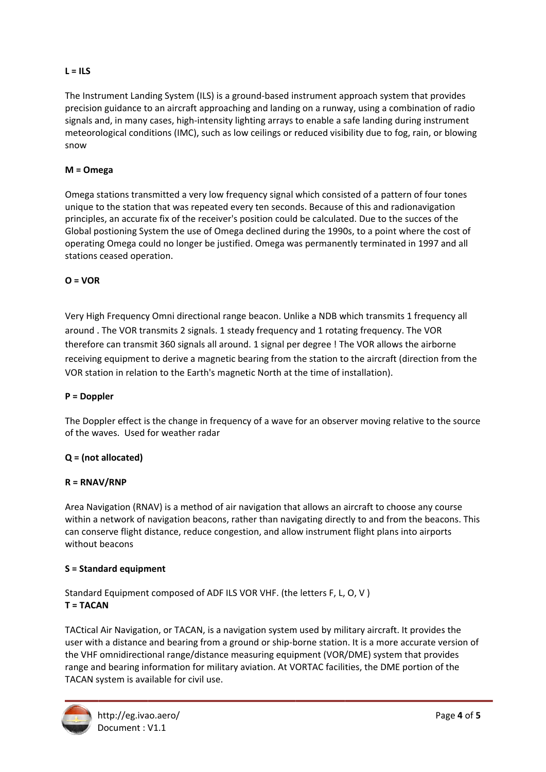# $L = ILS$

The Instrument Landing System (ILS) is a ground-based instrument approach system that provides precision guidance to an aircraft approaching and landing on a runway, using a combination of radio signals and, in many cases, high-intensity lighting arrays to enable a safe landing during instrument meteorological conditions (IMC), such as low ceilings or reduced visibility due to fog, rain, or blowing snow

## $M =$ Omega

Omega stations transmitted a very low frequency signal which consisted of a pattern of four tones unique to the station that was repeated every ten seconds. Because of this and radionavigation principles, an accurate fix of the receiver's position could be calculated. Due to the succes of the Global postioning System the use of Omega declined during the 1990s, to a point where the cost of operating Omega could no longer be justified. Omega was permanently terminated in 1997 and all stations ceased operation.

## $O = VOR$

Very High Frequency Omni directional range beacon. Unlike a NDB which transmits 1 frequency all around. The VOR transmits 2 signals. 1 steady frequency and 1 rotating frequency. The VOR therefore can transmit 360 signals all around. 1 signal per degree ! The VOR allows the airborne receiving equipment to derive a magnetic bearing from the station to the aircraft (direction from the VOR station in relation to the Earth's magnetic North at the time of installation).

#### $P = Doppler$

The Doppler effect is the change in frequency of a wave for an observer moving relative to the source of the waves. Used for weather radar

#### $Q = (not allocated)$

## $R = RNAV/RNP$

Area Navigation (RNAV) is a method of air navigation that allows an aircraft to choose any course within a network of navigation beacons, rather than navigating directly to and from the beacons. This can conserve flight distance, reduce congestion, and allow instrument flight plans into airports without beacons

#### S = Standard equipment

Standard Equipment composed of ADF ILS VOR VHF. (the letters F, L, O, V) **T = TACAN** 

TACtical Air Navigation, or TACAN, is a navigation system used by military aircraft. It provides the user with a distance and bearing from a ground or ship-borne station. It is a more accurate version of the VHF omnidirectional range/distance measuring equipment (VOR/DME) system that provides range and bearing information for military aviation. At VORTAC facilities, the DME portion of the TACAN system is available for civil use.